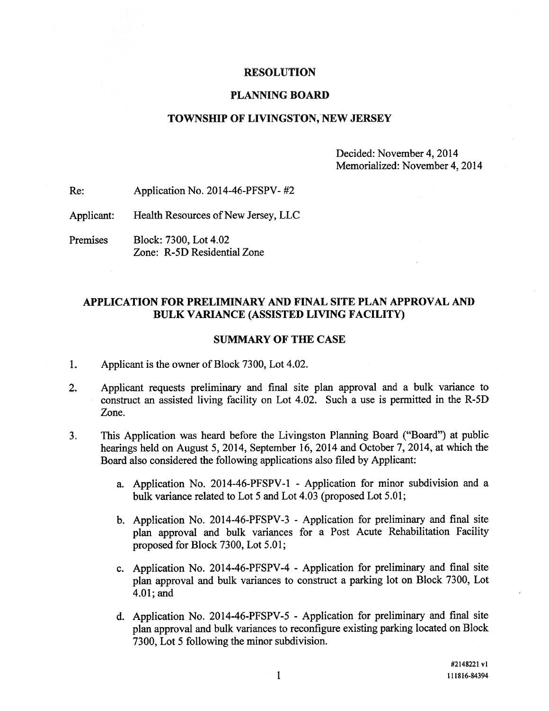#### RESOLUTION

### PLANNING BOARD

## TOWNSHIP OF LIVINGSTON, NEW JERSEY

Decided: November 4, 2014 Memorialized: November 4, 2014

Re: Application No. 2014-46-PFSPV- #2

Applicant: Health Resources of New Jersey, LLC

Premises Block: 7300, Lot 4.02 Zone: R-5D Residential Zone

## APPLICATION FOR PRELIMINARY AND FINAL SITE PLAN APPROVAL AND BULK VARIANCE (ASSISTED LIVING FACILITY)

#### SUMMARY OF THE CASE

- 1. Applicant is the owner of Block 7300, Lot 4.02.
- 2. Applicant requests preliminary and final site <sup>p</sup>lan approval and <sup>a</sup> bulk variance to construct an assisted living facility on Lot 4.02. Such <sup>a</sup> use is permitted in the R-5D Zone.
- 3. This Application was heard before the Livingston Planning Board ("Board") at public hearings held on August 5, 2014, September 16, <sup>2014</sup> and October 7, 2014, at which the Board also considered the following applications also filed by Applicant:
	- a. Application No. 2014-46-PFSPV-1 Application for minor subdivision and <sup>a</sup> bulk variance related to Lot 5 and Lot 4.03 (proposed Lot 5.01;
	- b. Application No. 2014-46-PFSPV-3 Application for preliminary and final site <sup>p</sup>lan approva<sup>l</sup> and bulk variances for <sup>a</sup> Post Acute Rehabilitation Facility proposed for Block 7300, Lot 5.01;
	- c. Application No. 2014-46-PFSPV-4 Application for preliminary and final site <sup>p</sup>lan approva<sup>l</sup> and bulk variances to construct <sup>a</sup> parking lot on Block 7300, Lot 4.01; and
	- d. Application No. 2014-46-PFSPV-5 Application for preliminary and final site <sup>p</sup>lan approva<sup>l</sup> and bulk variances to reconfigure existing parking located on Block 7300, Lot 5 following the minor subdivision.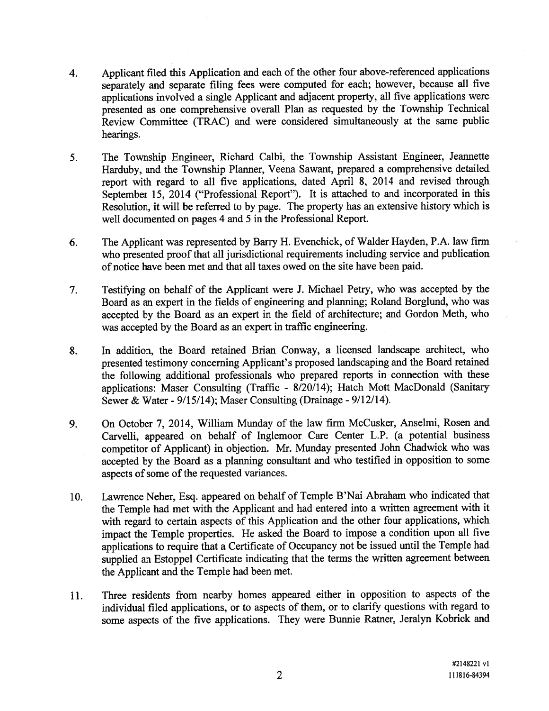- 4. Applicant filed this Application and each of the other four above-referenced applications separately and separate filing fees were computed for each; however, because all five applications involved <sup>a</sup> single Applicant and adjacent property, all five applications were presented as one comprehensive overall Plan as requested by the Township Technical Review Committee (TRAC) and were considered simultaneously at the same public hearings.
- 5. The Township Engineer, Richard Calbi, the Township Assistant Engineer, Jeannette Harduby, and the Township Planner, Veena Sawant, prepare<sup>d</sup> <sup>a</sup> comprehensive detailed repor<sup>t</sup> with regar<sup>d</sup> to all five applications, dated April 8, <sup>2014</sup> and revised through September 15, 2014 ("Professional Report"). It is attached to and incorporated in this Resolution, it will be referred to by page. The property has an extensive history which is well documented on pages 4 and 5 in the Professional Report.
- 6. The Applicant was represented by Barry H. Evenchick, of Walder Hayden, P.A. law firm who presented proo<sup>f</sup> that all jurisdictional requirements including service and publication of notice have been met and that all taxes owed on the site have been paid.
- 7. Testifying on behalf of the Applicant were J. Michael Petry, who was accepted by the Board as an exper<sup>t</sup> in the fields of engineering and <sup>p</sup>lanning; Roland Borgiund, who was accepted by the Board as an exper<sup>t</sup> in the field of architecture; and Gordon Meth, who was accepted by the Board as an exper<sup>t</sup> in traffic engineering.
- 8. In addition, the Board retained Brian Conway, <sup>a</sup> licensed landscape architect, who presented testimony concerning Applicant's propose<sup>d</sup> landscaping and the Board retained the following additional professionals who prepare<sup>d</sup> reports in connection with these applications: Maser Consulting (Traffic - 8/20/14); Hatch Mott MacDonald (Sanitary Sewer & Water - 9/15/14); Maser Consulting (Drainage - 9/12/14).
- 9. On October 7, 2014, William Munday of the law firm McCusker, Anselmi, Rosen and Carvelli, appeare<sup>d</sup> on behalf of Inglemoor Care Center L.P. (a potential business competitor of Applicant) in objection. Mr. Munday presented John Chadwick who was accepted by the Board as <sup>a</sup> <sup>p</sup>lanning consultant and who testified in opposition to some aspects of some of the requested variances.
- 10. Lawrence Neher, Esq. appeare<sup>d</sup> on behalf of Temple B'Nai Abraham who indicated that the Temple had met with the Applicant and had entered into <sup>a</sup> written agreemen<sup>t</sup> with it with regar<sup>d</sup> to certain aspects of this Application and the other four applications, which impact the Temple properties. He asked the Board to impose <sup>a</sup> condition upon all five applications to require that <sup>a</sup> Certificate of Occupancy not be issued until the Temple had supplied an Estoppel Certificate indicating that the terms the written agreement between the Applicant and the Temple had been met.
- 11. Three residents from nearby homes appeare<sup>d</sup> either in opposition to aspects of the individual filed applications, or to aspects of them, or to clarify questions with regar<sup>d</sup> to some aspects of the five applications. They were Bunnie Ratner, Jeralyn Kobrick and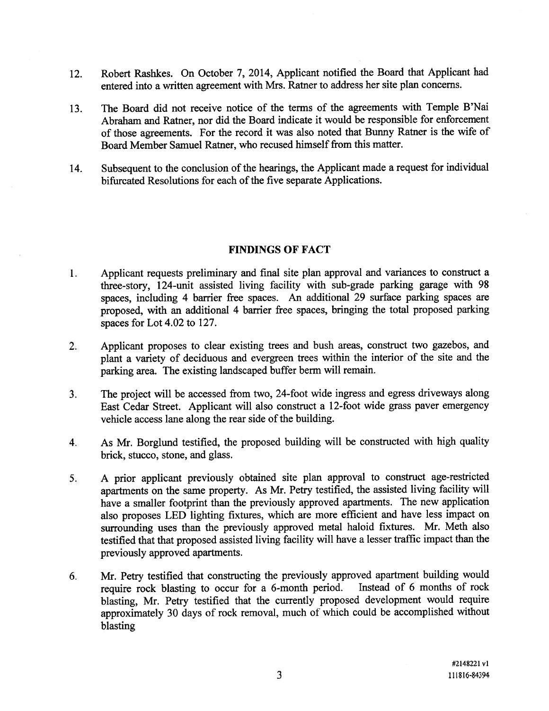- 12. Robert Rashkes. On October 7, 2014, Applicant notified the Board that Applicant had entered into <sup>a</sup> written agreemen<sup>t</sup> with Mrs. Ratner to address her site <sup>p</sup>lan concerns.
- 13. The Board did not receive notice of the terms of the agreements with Temple B'Nai Abraham and Ratner, nor did the Board indicate it would be responsible for enforcement of those agreements. For the record it was also noted that Bunny Ratner is the wife of Board Member Samuel Ratner, who recused himself from this matter.
- 14. Subsequent to the conclusion of the hearings, the Applicant made <sup>a</sup> reques<sup>t</sup> for individual bifurcated Resolutions for each of the five separate Applications.

## FINDINGS OF FACT

- Applicant requests preliminary and final site <sup>p</sup>lan approva<sup>l</sup> and variances to construct <sup>a</sup> 1. three-story, 124-unit assisted living facility with sub-grade parking garage with <sup>98</sup> spaces, including <sup>4</sup> barrier free spaces. An additional 29 surface parking spaces are proposed, with an additional <sup>4</sup> barrier free spaces, bringing the total propose<sup>d</sup> parking spaces for Lot 4.02 to 127.
- 2. Applicant proposes to clear existing trees and bush areas, construct two gazebos, and <sup>p</sup>lant <sup>a</sup> variety of deciduous and evergreen trees within the interior of the site and the parking area. The existing landscaped buffer berm will remain.
- 3. The project will be accessed from two, 24-foot wide ingress and egress driveways along East Cedar Street. Applicant will also construct <sup>a</sup> 12-foot wide grass paver emergency vehicle access lane along the rear side of the building.
- 4. As Mr. Borglund testified, the propose<sup>d</sup> building will be constructed with high quality brick, stucco, stone, and glass.
- 5. <sup>A</sup> prior applicant previously obtained site <sup>p</sup>lan approva<sup>l</sup> to construct age-restricted apartments on the same property. As Mr. Petry testified, the assisted living facility will have <sup>a</sup> smaller footprint than the previously approve<sup>d</sup> apartments. The new application also proposes LED lighting fixtures, which are more efficient and have less impact on surrounding uses than the previously approve<sup>d</sup> metal haloid fixtures. Mr. Meth also testified that that propose<sup>d</sup> assisted living facility will have <sup>a</sup> lesser traffic impact than the previously approved apartments.
- 6. Mr. Petty testified that constructing the previously approve<sup>d</sup> apartment building would require rock blasting to occur for <sup>a</sup> 6-month period. Instead of <sup>6</sup> months of rock blasting, Mr. Petry testified that the currently propose<sup>d</sup> development would require approximately <sup>30</sup> days of rock removal, much of which could be accomplished without blasting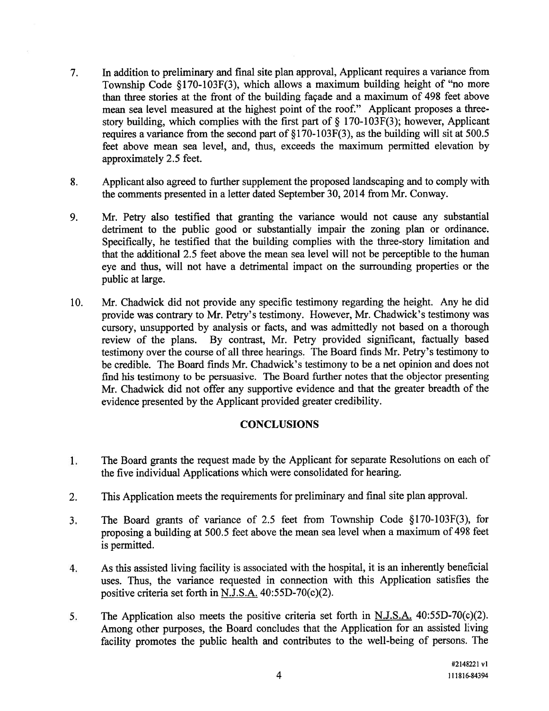- 7. In addition to preliminary and final site <sup>p</sup>lan approval, Applicant requires <sup>a</sup> variance from Township Code §170-103F(3), which allows <sup>a</sup> maximum building height of "no more than three stories at the front of the building façade and <sup>a</sup> maximum of 498 feet above mean sea level measured at the highest point of the roof." Applicant proposes <sup>a</sup> threestory building, which complies with the first part of  $\S$  170-103F(3); however, Applicant requires <sup>a</sup> variance from the second par<sup>t</sup> of §l70-103F(3), as the building will sit at 500.5 feet above mean sea level, and, thus, exceeds the maximum permitted elevation by approximately 2.5 feet.
- 8. Applicant also agreed to further supplement the proposed landscaping and to comply with the comments presented in <sup>a</sup> letter dated September 30, 2014 from Mr. Conway.
- 9. Mr. Petry also testified that granting the variance would not cause any substantial detriment to the public good or substantially impair the zoning plan or ordinance. Specifically, he testified that the building complies with the three-story limitation and that the additional 2.5 feet above the mean sea level will not be perceptible to the human eye and thus, will not have <sup>a</sup> detrimental impact on the surrounding properties or the public at large.
- 10. Mr. Chadwick did not provide any specific testimony regarding the height. Any he did provide was contrary to Mr. Petry's testimony. However, Mr. Chadwick's testimony was cursory, unsupported by analysis or facts, and was admittedly not based on <sup>a</sup> thorough review of the plans. By contrast, Mr. Petry provided significant, factually based testimony over the course of all three hearings. The Board finds Mr. Petry's testimony to be credible. The Board finds Mr. Chadwick's testimony to be <sup>a</sup> net opinion and does not find his testimony to be persuasive. The Board further notes that the objector presenting Mr. Chadwick did not offer any supportive evidence and that the greater breadth of the evidence presented by the Applicant provided greater credibility.

# **CONCLUSIONS**

- The Board grants the reques<sup>t</sup> made by the Applicant for separate Resolutions on each of 1. the five individual Applications which were consolidated for hearing.
- 2. This Application meets the requirements for preliminary and final site <sup>p</sup>lan approval.
- 3. The Board grants of variance of 2.5 feet from Township Code §170-103F(3), for proposing <sup>a</sup> building at 500.5 feet above the mean sea level when <sup>a</sup> maximum of <sup>498</sup> feet is permitted.
- 4. As this assisted living facility is associated with the hospital, it is an inherently beneficial uses. Thus, the variance requested in connection with this Application satisfies the positive criteria set forth in N.J.S.A. 40:55D-70(c)(2).
- 5. The Application also meets the positive criteria set forth in N.J.S.A. 40:55D-70(c)(2). Among other purposes, the Board concludes that the Application for an assisted living facility promotes the public health and contributes to the well-being of persons. The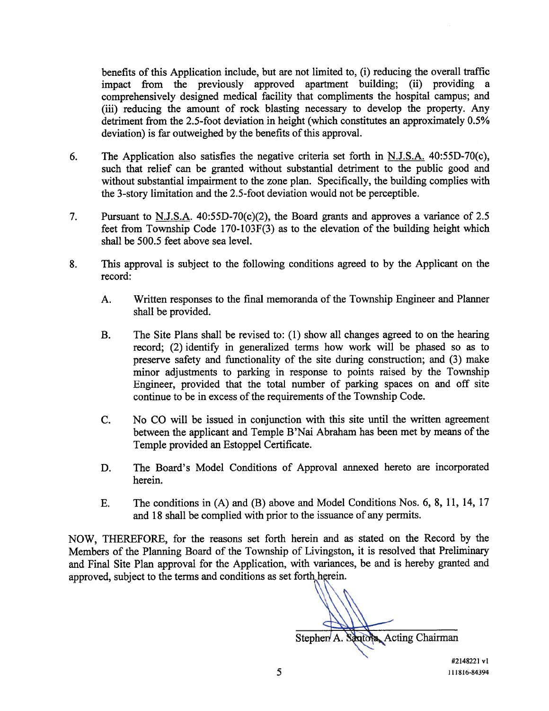benefits of this Application include, but are not limited to, (i) reducing the overall traffic impact from the previously approved apartment building; (ii) providing <sup>a</sup> comprehensively designed medical facility that compliments the hospital campus; and (iii) reducing the amount of rock blasting necessary to develop the property. Any detriment from the 2.5-foot deviation in height (which constitutes an approximately 0.5% deviation) is far outweighed by the benefits of this approval.

- 6. The Application also satisfies the negative criteria set forth in N.J.S.A. 40:55D-70(c), such that relief can be granted without substantial detriment to the public good and without substantial impairment to the zone plan. Specifically, the building complies with the 3-story limitation and the 2.5-foot deviation would not be perceptible.
- 7. Pursuant to <u>N.J.S.A.</u> 40:55D-70(c)(2), the Board grants and approves a variance of 2.5 feet from Township Code 170-103F(3) as to the elevation of the building height which shall be 500.5 feet above sea level.
- 8. This approval is subject to the following conditions agreed to by the Applicant on the record:
	- A. Written responses to the final memoranda of the Township Engineer and Planner shall be provided.
	- B. The Site Plans shall be revised to: (1) show all changes agreed to on the hearing record; (2) identify in generalized terms how work will be phased so as to preserve safety and functionality of the site during construction; and (3) make minor adjustments to parking in response to points raised by the Township Engineer, provided that the total number of parking spaces on and off site continue to be in excess of the requirements of the Township Code.
	- C. No CO will be issued in conjunction with this site until the written agreemen<sup>t</sup> between the applicant and Temple B'Nai Abraham has been met by means of the Temple provided an Estoppel Certificate.
	- D. The Board's Model Conditions of Approval annexed hereto are incorporated herein.
	- E. The conditions in (A) and (B) above and Model Conditions Nos. 6, 8, 11, 14, 17 and 18 shall be complied with prior to the issuance of any permits.

NOW, THEREFORE, for the reasons set forth herein and as stated on the Record by the Members of the Planning Board of the Township of Livingston, it is resolved that Preliminary and Final Site Plan approva<sup>l</sup> for the Application, with variances, be and is hereby granted and approved, subject to the terms and conditions as set forth herein.

Stephen A. Santoka, Acting Chairman

#2148221 vi 5 111816-84394